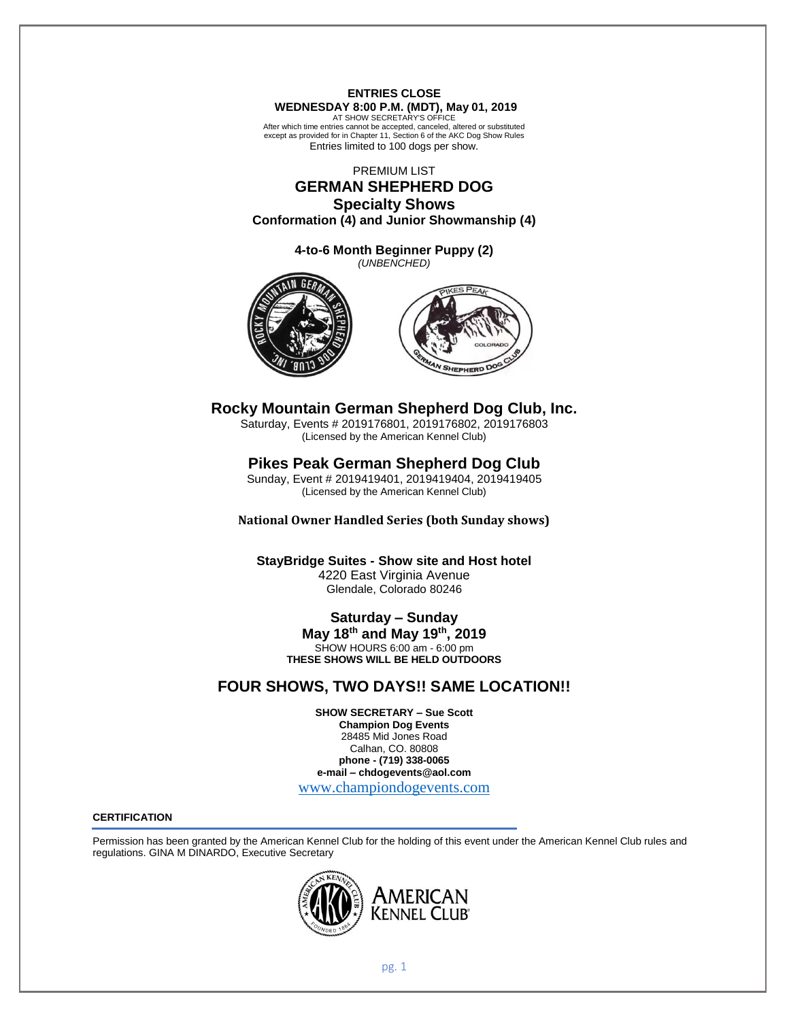# **ENTRIES CLOSE WEDNESDAY 8:00 P.M. (MDT), May 01, 2019**

AT SHOW SECRETARY'S OFFICE After which time entries cannot be accepted, canceled, altered or substituted except as provided for in Chapter 11, Section 6 of the AKC Dog Show Rules Entries limited to 100 dogs per show.

PREMIUM LIST

# **GERMAN SHEPHERD DOG Specialty Shows**

**Conformation (4) and Junior Showmanship (4)**

**4-to-6 Month Beginner Puppy (2)** *(UNBENCHED)*





# **Rocky Mountain German Shepherd Dog Club, Inc.**

Saturday, Events # 2019176801, 2019176802, 2019176803 (Licensed by the American Kennel Club)

# **Pikes Peak German Shepherd Dog Club**

Sunday, Event # 2019419401, 2019419404, 2019419405 (Licensed by the American Kennel Club)

**National Owner Handled Series (both Sunday shows)**

**StayBridge Suites - Show site and Host hotel** 4220 East Virginia Avenue Glendale, Colorado 80246

# **Saturday – Sunday**

**May 18 th and May 19 th , 2019** SHOW HOURS 6:00 am - 6:00 pm **THESE SHOWS WILL BE HELD OUTDOORS**

# **FOUR SHOWS, TWO DAYS!! SAME LOCATION!!**

**SHOW SECRETARY – Sue Scott Champion Dog Events** 28485 Mid Jones Road Calhan, CO. 80808 **phone - (719) 338-0065 e-mail – chdogevents@aol.com**

[www.championdogevents.com](http://www.championdogevents.com/)

# **CERTIFICATION**

Permission has been granted by the American Kennel Club for the holding of this event under the American Kennel Club rules and regulations. GINA M DINARDO, Executive Secretary

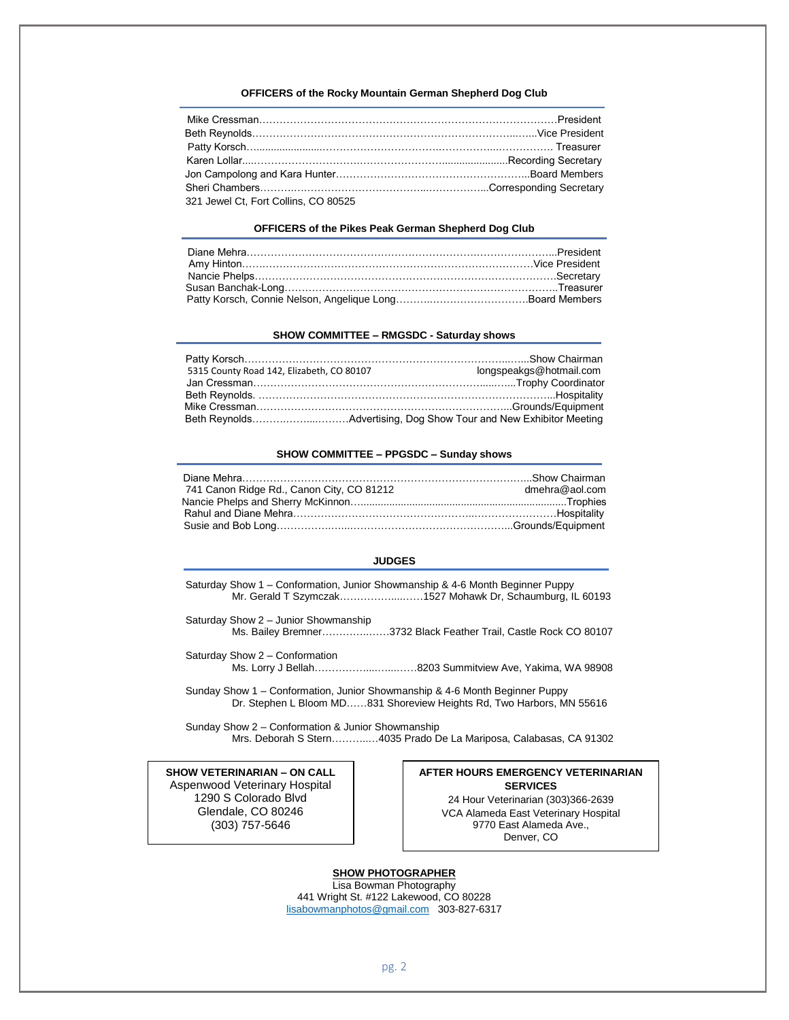#### **OFFICERS of the Rocky Mountain German Shepherd Dog Club**

| 321 Jewel Ct. Fort Collins, CO 80525 |  |
|--------------------------------------|--|

#### **OFFICERS of the Pikes Peak German Shepherd Dog Club**

#### **SHOW COMMITTEE – RMGSDC - Saturday shows**

| 5315 County Road 142, Elizabeth, CO 80107 | longspeakgs@hotmail.com |
|-------------------------------------------|-------------------------|
|                                           |                         |
|                                           |                         |
|                                           |                         |
|                                           |                         |

#### **SHOW COMMITTEE – PPGSDC – Sunday shows**

| 741 Canon Ridge Rd., Canon City, CO 81212 | dmehra@aol.com |
|-------------------------------------------|----------------|
|                                           |                |
|                                           |                |
|                                           |                |

#### **JUDGES**

- Saturday Show 1 Conformation, Junior Showmanship & 4-6 Month Beginner Puppy Mr. Gerald T Szymczak……………....……1527 Mohawk Dr, Schaumburg, IL 60193
- Saturday Show 2 Junior Showmanship Ms. Bailey Bremner…………..……3732 Black Feather Trail, Castle Rock CO 80107
- Saturday Show 2 Conformation Ms. Lorry J Bellah……………....…...……8203 Summitview Ave, Yakima, WA 98908
- Sunday Show 1 Conformation, Junior Showmanship & 4-6 Month Beginner Puppy Dr. Stephen L Bloom MD……831 Shoreview Heights Rd, Two Harbors, MN 55616

Sunday Show 2 – Conformation & Junior Showmanship Mrs. Deborah S Stern………..…4035 Prado De La Mariposa, Calabasas, CA 91302

**SHOW VETERINARIAN – ON CALL** Aspenwood Veterinary Hospital 1290 S Colorado Blvd Glendale, CO 80246 (303) 757-5646

**AFTER HOURS EMERGENCY VETERINARIAN SERVICES**

24 Hour Veterinarian (303)366-2639 VCA Alameda East Veterinary Hospital 9770 East Alameda Ave., Denver, CO

**SHOW PHOTOGRAPHER** Lisa Bowman Photography 441 Wright St. #122 Lakewood, CO 80228 [lisabowmanphotos@gmail.com](mailto:lisabowmanphotos@gmail.com) 303-827-6317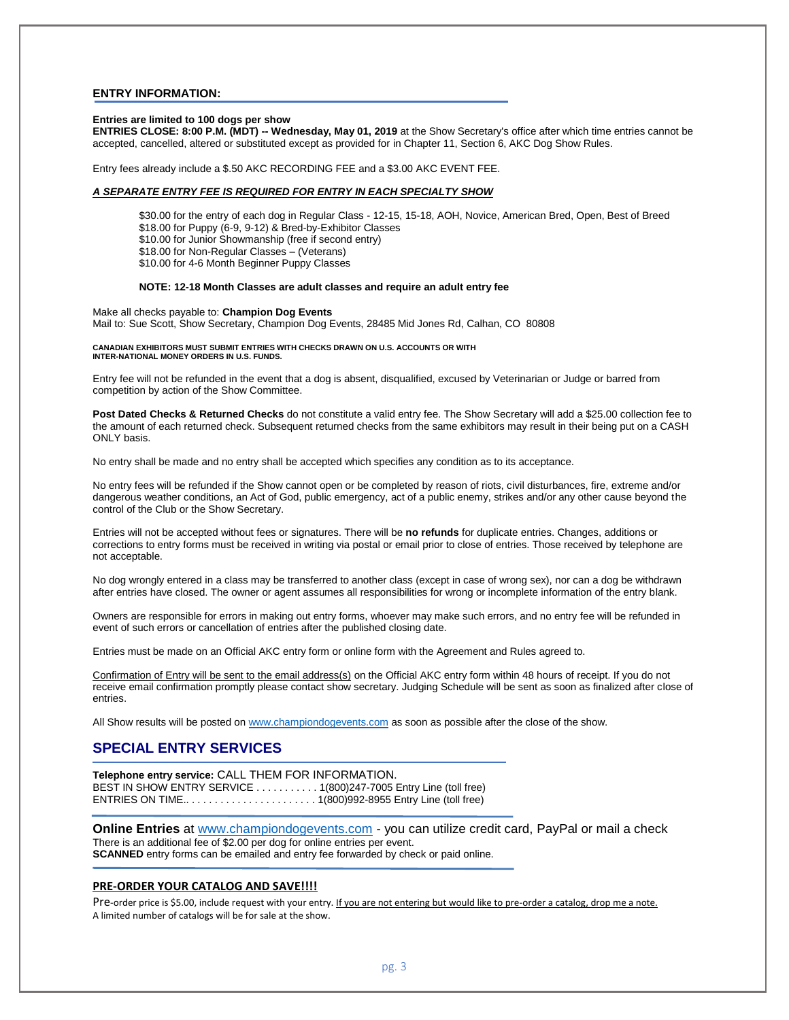#### **ENTRY INFORMATION:**

#### **Entries are limited to 100 dogs per show**

**ENTRIES CLOSE: 8:00 P.M. (MDT) -- Wednesday, May 01, 2019** at the Show Secretary's office after which time entries cannot be accepted, cancelled, altered or substituted except as provided for in Chapter 11, Section 6, AKC Dog Show Rules.

Entry fees already include a \$.50 AKC RECORDING FEE and a \$3.00 AKC EVENT FEE.

#### *A SEPARATE ENTRY FEE IS REQUIRED FOR ENTRY IN EACH SPECIALTY SHOW*

\$30.00 for the entry of each dog in Regular Class - 12-15, 15-18, AOH, Novice, American Bred, Open, Best of Breed \$18.00 for Puppy (6-9, 9-12) & Bred-by-Exhibitor Classes \$10.00 for Junior Showmanship (free if second entry) \$18.00 for Non-Regular Classes – (Veterans) \$10.00 for 4-6 Month Beginner Puppy Classes

#### **NOTE: 12-18 Month Classes are adult classes and require an adult entry fee**

Make all checks payable to: **Champion Dog Events** Mail to: Sue Scott, Show Secretary, Champion Dog Events, 28485 Mid Jones Rd, Calhan, CO 80808

#### **CANADIAN EXHIBITORS MUST SUBMIT ENTRIES WITH CHECKS DRAWN ON U.S. ACCOUNTS OR WITH INTER-NATIONAL MONEY ORDERS IN U.S. FUNDS.**

Entry fee will not be refunded in the event that a dog is absent, disqualified, excused by Veterinarian or Judge or barred from competition by action of the Show Committee.

**Post Dated Checks & Returned Checks** do not constitute a valid entry fee. The Show Secretary will add a \$25.00 collection fee to the amount of each returned check. Subsequent returned checks from the same exhibitors may result in their being put on a CASH ONLY basis.

No entry shall be made and no entry shall be accepted which specifies any condition as to its acceptance.

No entry fees will be refunded if the Show cannot open or be completed by reason of riots, civil disturbances, fire, extreme and/or dangerous weather conditions, an Act of God, public emergency, act of a public enemy, strikes and/or any other cause beyond the control of the Club or the Show Secretary.

Entries will not be accepted without fees or signatures. There will be **no refunds** for duplicate entries. Changes, additions or corrections to entry forms must be received in writing via postal or email prior to close of entries. Those received by telephone are not acceptable.

No dog wrongly entered in a class may be transferred to another class (except in case of wrong sex), nor can a dog be withdrawn after entries have closed. The owner or agent assumes all responsibilities for wrong or incomplete information of the entry blank.

Owners are responsible for errors in making out entry forms, whoever may make such errors, and no entry fee will be refunded in event of such errors or cancellation of entries after the published closing date.

Entries must be made on an Official AKC entry form or online form with the Agreement and Rules agreed to.

Confirmation of Entry will be sent to the email address(s) on the Official AKC entry form within 48 hours of receipt. If you do not receive email confirmation promptly please contact show secretary. Judging Schedule will be sent as soon as finalized after close of entries.

All Show results will be posted on [www.championdogevents.com](http://www.championdogevents.com/) as soon as possible after the close of the show.

# **SPECIAL ENTRY SERVICES**

**Telephone entry service:** CALL THEM FOR INFORMATION. BEST IN SHOW ENTRY SERVICE . . . . . . . . . . . 1(800)247-7005 Entry Line (toll free) ENTRIES ON TIME.. . . . . . . . . . . . . . . . . . . . . . . 1(800)992-8955 Entry Line (toll free)

**Online Entries** at [www.championdogevents.com](http://www.championdogevents.com/) - you can utilize credit card, PayPal or mail a check There is an additional fee of \$2.00 per dog for online entries per event. **SCANNED** entry forms can be emailed and entry fee forwarded by check or paid online.

#### **PRE-ORDER YOUR CATALOG AND SAVE!!!!**

Pre-order price is \$5.00, include request with your entry. If you are not entering but would like to pre-order a catalog, drop me a note. A limited number of catalogs will be for sale at the show.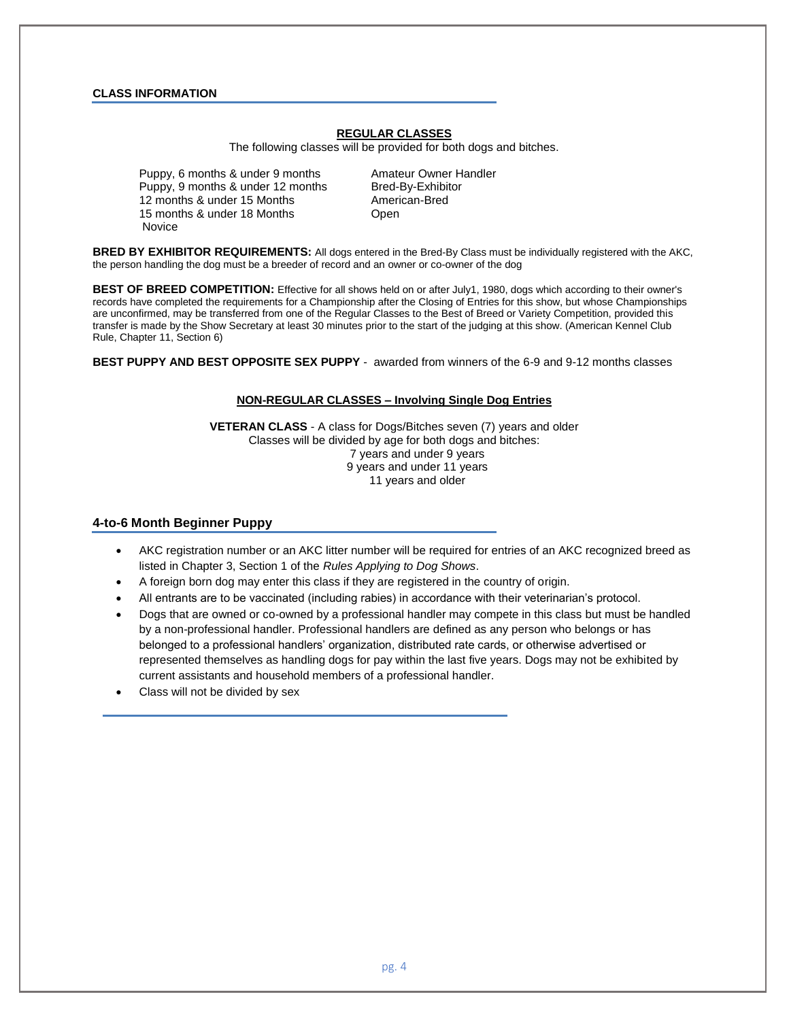## **CLASS INFORMATION**

## **REGULAR CLASSES**

The following classes will be provided for both dogs and bitches.

Puppy, 6 months & under 9 months Amateur Owner Handler Puppy, 9 months & under 12 months Bred-By-Exhibitor 12 months & under 15 Months American-Bred 15 months & under 18 Months **Changis** Open Novice

**BRED BY EXHIBITOR REQUIREMENTS:** All dogs entered in the Bred-By Class must be individually registered with the AKC, the person handling the dog must be a breeder of record and an owner or co-owner of the dog

**BEST OF BREED COMPETITION:** Effective for all shows held on or after July1, 1980, dogs which according to their owner's records have completed the requirements for a Championship after the Closing of Entries for this show, but whose Championships are unconfirmed, may be transferred from one of the Regular Classes to the Best of Breed or Variety Competition, provided this transfer is made by the Show Secretary at least 30 minutes prior to the start of the judging at this show. (American Kennel Club Rule, Chapter 11, Section 6)

**BEST PUPPY AND BEST OPPOSITE SEX PUPPY** - awarded from winners of the 6-9 and 9-12 months classes

### **NON-REGULAR CLASSES – Involving Single Dog Entries**

**VETERAN CLASS** - A class for Dogs/Bitches seven (7) years and older Classes will be divided by age for both dogs and bitches: 7 years and under 9 years 9 years and under 11 years 11 years and older

### **4-to-6 Month Beginner Puppy**

- AKC registration number or an AKC litter number will be required for entries of an AKC recognized breed as listed in Chapter 3, Section 1 of the *Rules Applying to Dog Shows*.
- A foreign born dog may enter this class if they are registered in the country of origin.
- All entrants are to be vaccinated (including rabies) in accordance with their veterinarian's protocol.
- Dogs that are owned or co-owned by a professional handler may compete in this class but must be handled by a non-professional handler. Professional handlers are defined as any person who belongs or has belonged to a professional handlers' organization, distributed rate cards, or otherwise advertised or represented themselves as handling dogs for pay within the last five years. Dogs may not be exhibited by current assistants and household members of a professional handler.
- Class will not be divided by sex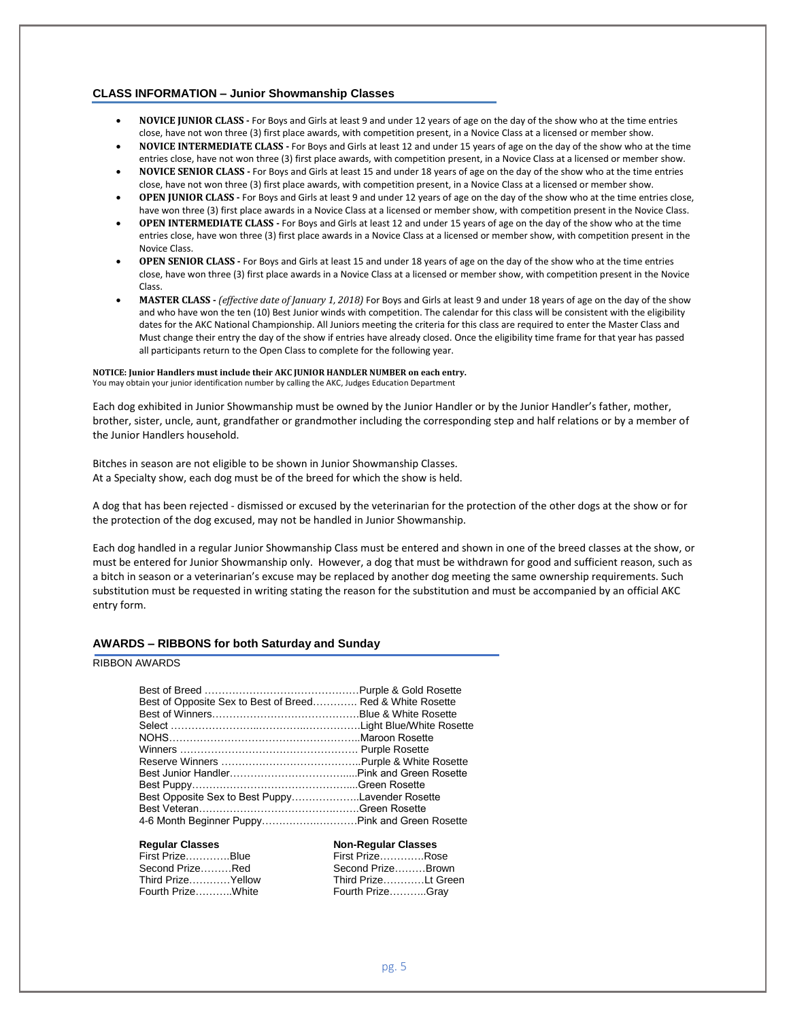#### **CLASS INFORMATION – Junior Showmanship Classes**

- **NOVICE JUNIOR CLASS -** For Boys and Girls at least 9 and under 12 years of age on the day of the show who at the time entries close, have not won three (3) first place awards, with competition present, in a Novice Class at a licensed or member show.
- **NOVICE INTERMEDIATE CLASS -** For Boys and Girls at least 12 and under 15 years of age on the day of the show who at the time entries close, have not won three (3) first place awards, with competition present, in a Novice Class at a licensed or member show.
- **NOVICE SENIOR CLASS -** For Boys and Girls at least 15 and under 18 years of age on the day of the show who at the time entries close, have not won three (3) first place awards, with competition present, in a Novice Class at a licensed or member show.
- **OPEN JUNIOR CLASS -** For Boys and Girls at least 9 and under 12 years of age on the day of the show who at the time entries close, have won three (3) first place awards in a Novice Class at a licensed or member show, with competition present in the Novice Class.
- **OPEN INTERMEDIATE CLASS -** For Boys and Girls at least 12 and under 15 years of age on the day of the show who at the time entries close, have won three (3) first place awards in a Novice Class at a licensed or member show, with competition present in the Novice Class.
- **OPEN SENIOR CLASS -** For Boys and Girls at least 15 and under 18 years of age on the day of the show who at the time entries close, have won three (3) first place awards in a Novice Class at a licensed or member show, with competition present in the Novice Class.
- **MASTER CLASS -** *(effective date of January 1, 2018)* For Boys and Girls at least 9 and under 18 years of age on the day of the show and who have won the ten (10) Best Junior winds with competition. The calendar for this class will be consistent with the eligibility dates for the AKC National Championship. All Juniors meeting the criteria for this class are required to enter the Master Class and Must change their entry the day of the show if entries have already closed. Once the eligibility time frame for that year has passed all participants return to the Open Class to complete for the following year.

# **NOTICE: Junior Handlers must include their AKC JUNIOR HANDLER NUMBER on each entry.**

You may obtain your junior identification number by calling the AKC, Judges Education Department

Each dog exhibited in Junior Showmanship must be owned by the Junior Handler or by the Junior Handler's father, mother, brother, sister, uncle, aunt, grandfather or grandmother including the corresponding step and half relations or by a member of the Junior Handlers household.

Bitches in season are not eligible to be shown in Junior Showmanship Classes. At a Specialty show, each dog must be of the breed for which the show is held.

A dog that has been rejected - dismissed or excused by the veterinarian for the protection of the other dogs at the show or for the protection of the dog excused, may not be handled in Junior Showmanship.

Each dog handled in a regular Junior Showmanship Class must be entered and shown in one of the breed classes at the show, or must be entered for Junior Showmanship only. However, a dog that must be withdrawn for good and sufficient reason, such as a bitch in season or a veterinarian's excuse may be replaced by another dog meeting the same ownership requirements. Such substitution must be requested in writing stating the reason for the substitution and must be accompanied by an official AKC entry form.

## **AWARDS – RIBBONS for both Saturday and Sunday**

## RIBBON AWARDS

| Best of Opposite Sex to Best of Breed Red & White Rosette |  |
|-----------------------------------------------------------|--|
|                                                           |  |
|                                                           |  |
|                                                           |  |
|                                                           |  |
|                                                           |  |
|                                                           |  |
| Best Puppy…………………………………………Green Rosette                   |  |
| Best Opposite Sex to Best PuppyLavender Rosette           |  |
|                                                           |  |
| 4-6 Month Beginner Puppy………………………Pink and Green Rosette   |  |
|                                                           |  |

# **Regular Classes Non-Regular Classes**

| First PrizeBlue   | First PrizeRose     |  |
|-------------------|---------------------|--|
| Second PrizeRed   | Second PrizeBrown   |  |
| Third PrizeYellow | Third PrizeLt Green |  |
| Fourth PrizeWhite | Fourth PrizeGray    |  |

| NUIL-Regulai Glasses |  |  |
|----------------------|--|--|
| First PrizeRose      |  |  |
| Second PrizeBrown    |  |  |
| Third PrizeLt Gree   |  |  |
| Fourth PrizeGray     |  |  |
|                      |  |  |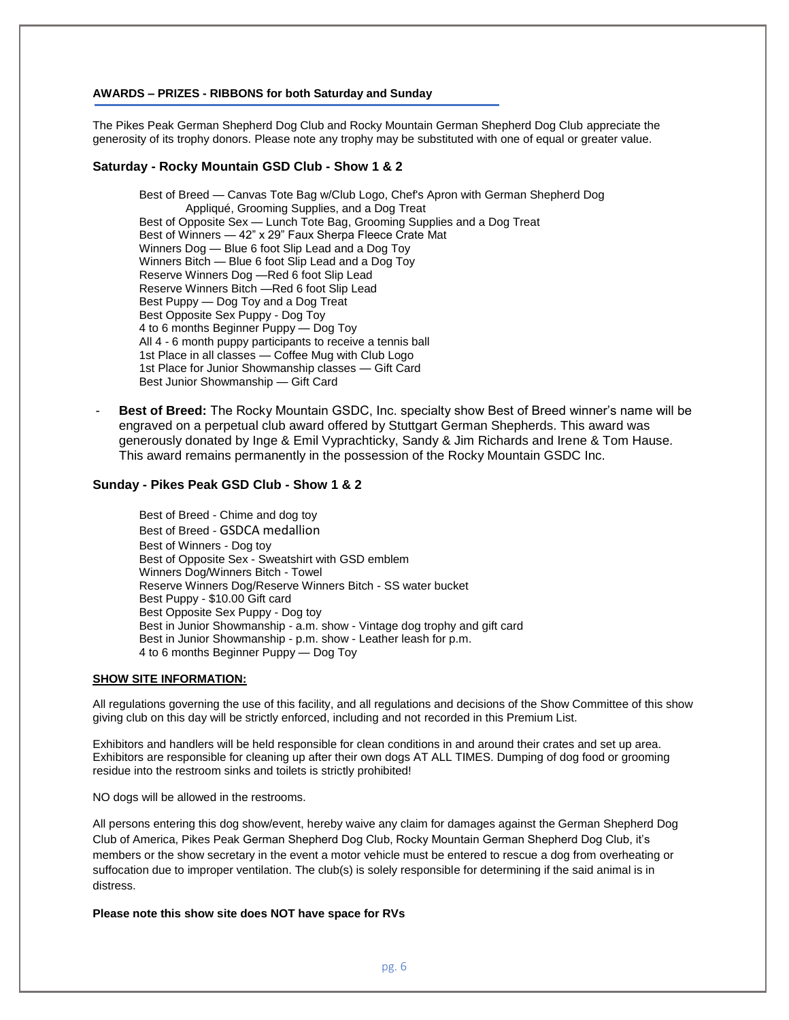#### **AWARDS – PRIZES - RIBBONS for both Saturday and Sunday**

The Pikes Peak German Shepherd Dog Club and Rocky Mountain German Shepherd Dog Club appreciate the generosity of its trophy donors. Please note any trophy may be substituted with one of equal or greater value.

## **Saturday - Rocky Mountain GSD Club - Show 1 & 2**

Best of Breed — Canvas Tote Bag w/Club Logo, Chef's Apron with German Shepherd Dog Appliqué, Grooming Supplies, and a Dog Treat Best of Opposite Sex — Lunch Tote Bag, Grooming Supplies and a Dog Treat Best of Winners — 42" x 29" Faux Sherpa Fleece Crate Mat Winners Dog — Blue 6 foot Slip Lead and a Dog Toy Winners Bitch — Blue 6 foot Slip Lead and a Dog Toy Reserve Winners Dog —Red 6 foot Slip Lead Reserve Winners Bitch —Red 6 foot Slip Lead Best Puppy — Dog Toy and a Dog Treat Best Opposite Sex Puppy - Dog Toy 4 to 6 months Beginner Puppy — Dog Toy All 4 - 6 month puppy participants to receive a tennis ball 1st Place in all classes — Coffee Mug with Club Logo 1st Place for Junior Showmanship classes — Gift Card Best Junior Showmanship — Gift Card

- **Best of Breed:** The Rocky Mountain GSDC, Inc. specialty show Best of Breed winner's name will be engraved on a perpetual club award offered by Stuttgart German Shepherds. This award was generously donated by Inge & Emil Vyprachticky, Sandy & Jim Richards and Irene & Tom Hause. This award remains permanently in the possession of the Rocky Mountain GSDC Inc.

## **Sunday - Pikes Peak GSD Club - Show 1 & 2**

Best of Breed - Chime and dog toy Best of Breed - GSDCA medallion Best of Winners - Dog toy Best of Opposite Sex - Sweatshirt with GSD emblem Winners Dog/Winners Bitch - Towel Reserve Winners Dog/Reserve Winners Bitch - SS water bucket Best Puppy - \$10.00 Gift card Best Opposite Sex Puppy - Dog toy Best in Junior Showmanship - a.m. show - Vintage dog trophy and gift card Best in Junior Showmanship - p.m. show - Leather leash for p.m. 4 to 6 months Beginner Puppy — Dog Toy

#### **SHOW SITE INFORMATION:**

All regulations governing the use of this facility, and all regulations and decisions of the Show Committee of this show giving club on this day will be strictly enforced, including and not recorded in this Premium List.

Exhibitors and handlers will be held responsible for clean conditions in and around their crates and set up area. Exhibitors are responsible for cleaning up after their own dogs AT ALL TIMES. Dumping of dog food or grooming residue into the restroom sinks and toilets is strictly prohibited!

NO dogs will be allowed in the restrooms.

All persons entering this dog show/event, hereby waive any claim for damages against the German Shepherd Dog Club of America, Pikes Peak German Shepherd Dog Club, Rocky Mountain German Shepherd Dog Club, it's members or the show secretary in the event a motor vehicle must be entered to rescue a dog from overheating or suffocation due to improper ventilation. The club(s) is solely responsible for determining if the said animal is in distress.

**Please note this show site does NOT have space for RVs**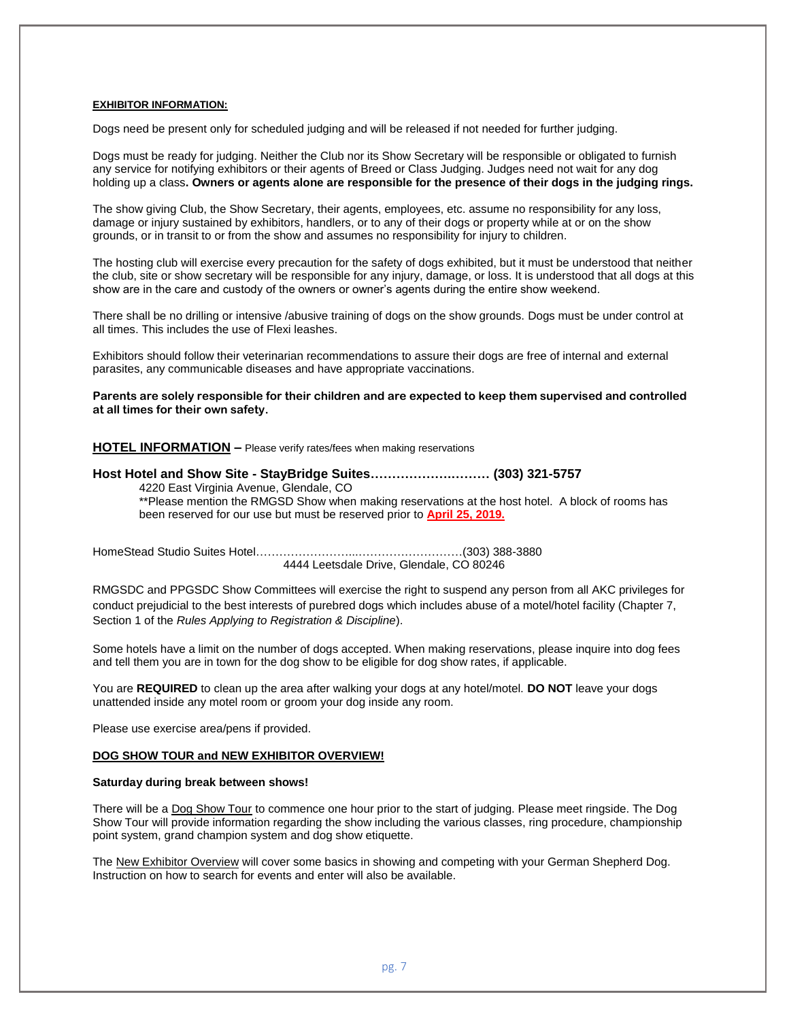#### **EXHIBITOR INFORMATION:**

Dogs need be present only for scheduled judging and will be released if not needed for further judging.

Dogs must be ready for judging. Neither the Club nor its Show Secretary will be responsible or obligated to furnish any service for notifying exhibitors or their agents of Breed or Class Judging. Judges need not wait for any dog holding up a class**. Owners or agents alone are responsible for the presence of their dogs in the judging rings.**

The show giving Club, the Show Secretary, their agents, employees, etc. assume no responsibility for any loss, damage or injury sustained by exhibitors, handlers, or to any of their dogs or property while at or on the show grounds, or in transit to or from the show and assumes no responsibility for injury to children.

The hosting club will exercise every precaution for the safety of dogs exhibited, but it must be understood that neither the club, site or show secretary will be responsible for any injury, damage, or loss. It is understood that all dogs at this show are in the care and custody of the owners or owner's agents during the entire show weekend.

There shall be no drilling or intensive /abusive training of dogs on the show grounds. Dogs must be under control at all times. This includes the use of Flexi leashes.

Exhibitors should follow their veterinarian recommendations to assure their dogs are free of internal and external parasites, any communicable diseases and have appropriate vaccinations.

**Parents are solely responsible for their children and are expected to keep them supervised and controlled at all times for their own safety.**

**HOTEL INFORMATION –** Please verify rates/fees when making reservations

**Host Hotel and Show Site - StayBridge Suites……………….……… (303) 321-5757** 4220 East Virginia Avenue, Glendale, CO

\*\*Please mention the RMGSD Show when making reservations at the host hotel. A block of rooms has been reserved for our use but must be reserved prior to **April 25, 2019.**

HomeStead Studio Suites Hotel……………………...………………………(303) 388-3880 4444 Leetsdale Drive, Glendale, CO 80246

RMGSDC and PPGSDC Show Committees will exercise the right to suspend any person from all AKC privileges for conduct prejudicial to the best interests of purebred dogs which includes abuse of a motel/hotel facility (Chapter 7, Section 1 of the *Rules Applying to Registration & Discipline*).

Some hotels have a limit on the number of dogs accepted. When making reservations, please inquire into dog fees and tell them you are in town for the dog show to be eligible for dog show rates, if applicable.

You are **REQUIRED** to clean up the area after walking your dogs at any hotel/motel. **DO NOT** leave your dogs unattended inside any motel room or groom your dog inside any room.

Please use exercise area/pens if provided.

#### **DOG SHOW TOUR and NEW EXHIBITOR OVERVIEW!**

#### **Saturday during break between shows!**

There will be a Dog Show Tour to commence one hour prior to the start of judging. Please meet ringside. The Dog Show Tour will provide information regarding the show including the various classes, ring procedure, championship point system, grand champion system and dog show etiquette.

The New Exhibitor Overview will cover some basics in showing and competing with your German Shepherd Dog. Instruction on how to search for events and enter will also be available.